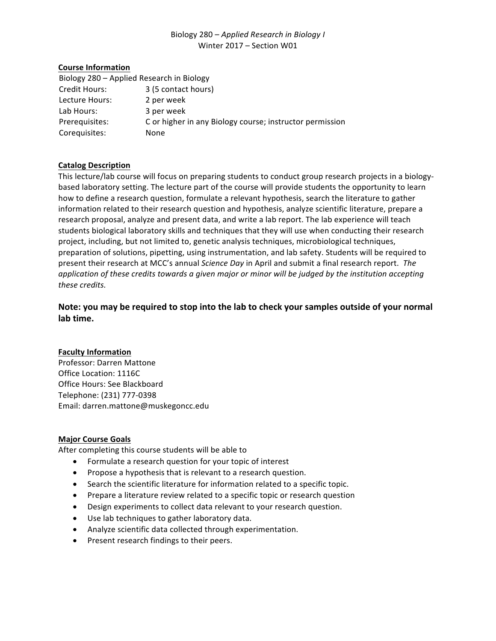## Biology 280 – *Applied Research in Biology I* Winter 2017 – Section W01

### **Course Information**

| Biology 280 - Applied Research in Biology |                                                          |
|-------------------------------------------|----------------------------------------------------------|
| Credit Hours:                             | 3 (5 contact hours)                                      |
| Lecture Hours:                            | 2 per week                                               |
| Lab Hours:                                | 3 per week                                               |
| Prerequisites:                            | C or higher in any Biology course; instructor permission |
| Corequisites:                             | None                                                     |

### **Catalog Description**

This lecture/lab course will focus on preparing students to conduct group research projects in a biologybased laboratory setting. The lecture part of the course will provide students the opportunity to learn how to define a research question, formulate a relevant hypothesis, search the literature to gather information related to their research question and hypothesis, analyze scientific literature, prepare a research proposal, analyze and present data, and write a lab report. The lab experience will teach students biological laboratory skills and techniques that they will use when conducting their research project, including, but not limited to, genetic analysis techniques, microbiological techniques, preparation of solutions, pipetting, using instrumentation, and lab safety. Students will be required to present their research at MCC's annual *Science Day* in April and submit a final research report. The *application of these credits towards a given major or minor will be judged by the institution accepting these credits.*

# Note: you may be required to stop into the lab to check your samples outside of your normal **lab time.**

### **Faculty Information**

Professor: Darren Mattone Office Location: 1116C Office Hours: See Blackboard Telephone: (231) 777-0398 Email: darren.mattone@muskegoncc.edu

### **Major Course Goals**

After completing this course students will be able to

- Formulate a research question for your topic of interest
- Propose a hypothesis that is relevant to a research question.
- Search the scientific literature for information related to a specific topic.
- Prepare a literature review related to a specific topic or research question
- Design experiments to collect data relevant to your research question.
- Use lab techniques to gather laboratory data.
- Analyze scientific data collected through experimentation.
- Present research findings to their peers.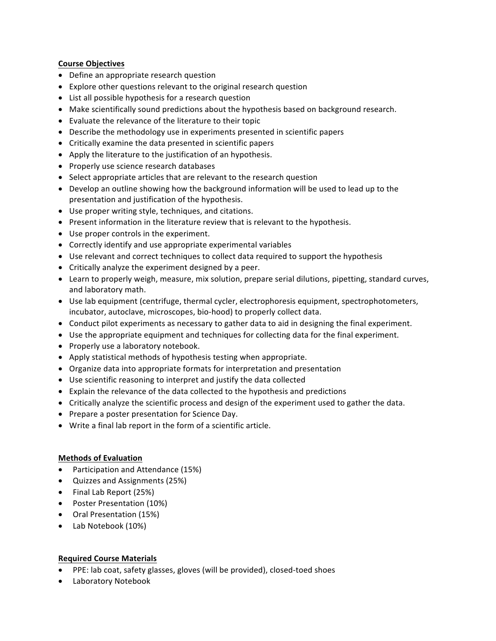### **Course Objectives**

- Define an appropriate research question
- Explore other questions relevant to the original research question
- List all possible hypothesis for a research question
- Make scientifically sound predictions about the hypothesis based on background research.
- Evaluate the relevance of the literature to their topic
- Describe the methodology use in experiments presented in scientific papers
- Critically examine the data presented in scientific papers
- Apply the literature to the justification of an hypothesis.
- Properly use science research databases
- Select appropriate articles that are relevant to the research question
- Develop an outline showing how the background information will be used to lead up to the presentation and justification of the hypothesis.
- Use proper writing style, techniques, and citations.
- Present information in the literature review that is relevant to the hypothesis.
- Use proper controls in the experiment.
- Correctly identify and use appropriate experimental variables
- Use relevant and correct techniques to collect data required to support the hypothesis
- Critically analyze the experiment designed by a peer.
- Learn to properly weigh, measure, mix solution, prepare serial dilutions, pipetting, standard curves, and laboratory math.
- Use lab equipment (centrifuge, thermal cycler, electrophoresis equipment, spectrophotometers, incubator, autoclave, microscopes, bio-hood) to properly collect data.
- Conduct pilot experiments as necessary to gather data to aid in designing the final experiment.
- Use the appropriate equipment and techniques for collecting data for the final experiment.
- Properly use a laboratory notebook.
- Apply statistical methods of hypothesis testing when appropriate.
- Organize data into appropriate formats for interpretation and presentation
- Use scientific reasoning to interpret and justify the data collected
- Explain the relevance of the data collected to the hypothesis and predictions
- Critically analyze the scientific process and design of the experiment used to gather the data.
- Prepare a poster presentation for Science Day.
- Write a final lab report in the form of a scientific article.

### **Methods of Evaluation**

- Participation and Attendance (15%)
- Quizzes and Assignments (25%)
- Final Lab Report (25%)
- Poster Presentation (10%)
- Oral Presentation (15%)
- Lab Notebook (10%)

### **Required Course Materials**

- PPE: lab coat, safety glasses, gloves (will be provided), closed-toed shoes
- Laboratory Notebook